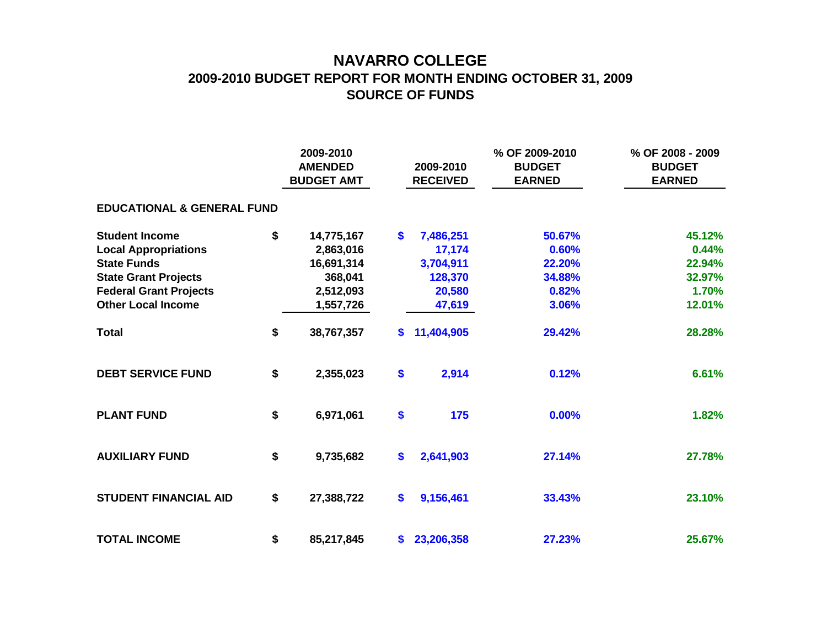## **NAVARRO COLLEGE 2009-2010 BUDGET REPORT FOR MONTH ENDING OCTOBER 31, 2009 SOURCE OF FUNDS**

|                                       |    | 2009-2010<br><b>AMENDED</b><br><b>BUDGET AMT</b> |                   | 2009-2010<br><b>RECEIVED</b> | % OF 2009-2010<br><b>BUDGET</b><br><b>EARNED</b> | % OF 2008 - 2009<br><b>BUDGET</b><br><b>EARNED</b> |
|---------------------------------------|----|--------------------------------------------------|-------------------|------------------------------|--------------------------------------------------|----------------------------------------------------|
| <b>EDUCATIONAL &amp; GENERAL FUND</b> |    |                                                  |                   |                              |                                                  |                                                    |
| <b>Student Income</b>                 | \$ | 14,775,167                                       | $\boldsymbol{\$}$ | 7,486,251                    | 50.67%                                           | 45.12%                                             |
| <b>Local Appropriations</b>           |    | 2,863,016                                        |                   | 17,174                       | 0.60%                                            | 0.44%                                              |
| <b>State Funds</b>                    |    | 16,691,314                                       |                   | 3,704,911                    | 22.20%                                           | 22.94%                                             |
| <b>State Grant Projects</b>           |    | 368,041                                          |                   | 128,370                      | 34.88%                                           | 32.97%                                             |
| <b>Federal Grant Projects</b>         |    | 2,512,093                                        |                   | 20,580                       | 0.82%                                            | 1.70%                                              |
| <b>Other Local Income</b>             |    | 1,557,726                                        |                   | 47,619                       | 3.06%                                            | 12.01%                                             |
| <b>Total</b>                          | \$ | 38,767,357                                       | S.                | 11,404,905                   | 29.42%                                           | 28.28%                                             |
| <b>DEBT SERVICE FUND</b>              | \$ | 2,355,023                                        | \$                | 2,914                        | 0.12%                                            | 6.61%                                              |
| <b>PLANT FUND</b>                     | \$ | 6,971,061                                        | \$                | 175                          | 0.00%                                            | 1.82%                                              |
| <b>AUXILIARY FUND</b>                 | \$ | 9,735,682                                        | \$                | 2,641,903                    | 27.14%                                           | 27.78%                                             |
| <b>STUDENT FINANCIAL AID</b>          | \$ | 27,388,722                                       | \$                | 9,156,461                    | 33.43%                                           | 23.10%                                             |
| <b>TOTAL INCOME</b>                   | \$ | 85,217,845                                       |                   | \$23,206,358                 | 27.23%                                           | 25.67%                                             |